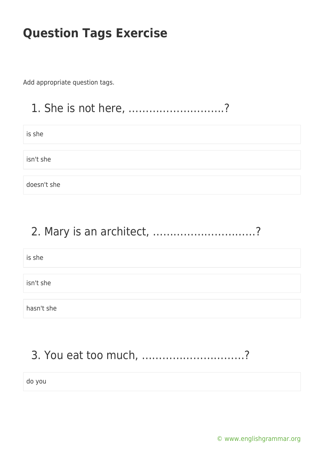Add appropriate question tags.

#### 1. She is not here, ……………………….?

is she

isn't she

doesn't she

#### 2. Mary is an architect, …………………………?

is she

isn't she

hasn't she

# 3. You eat too much, …………………………?

do you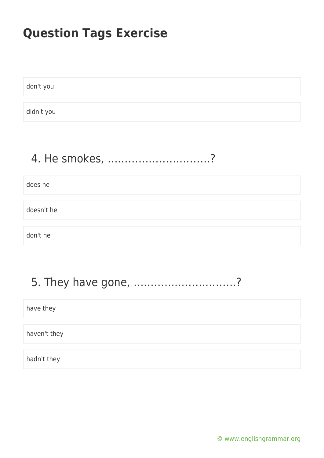don't you

didn't you

# 4. He smokes, …………………………?

does he

doesn't he

don't he

#### 5. They have gone, …………………………?

have they

haven't they

hadn't they

[© www.englishgrammar.org](https://www.englishgrammar.org/)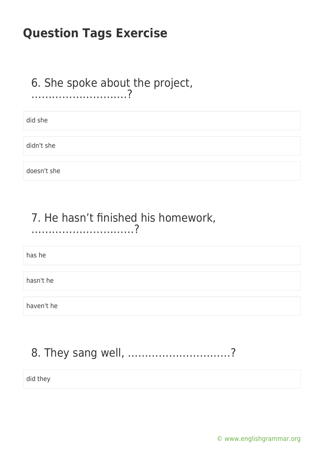#### 6. She spoke about the project, ……………………….?

did she

didn't she

doesn't she

#### 7. He hasn't finished his homework, …………………………?

has he

hasn't he

haven't he

# 8. They sang well, …………………………?

did they

[© www.englishgrammar.org](https://www.englishgrammar.org/)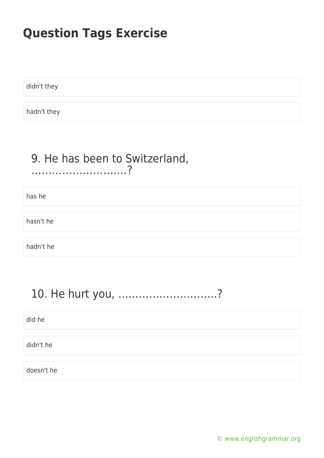didn't they

hadn't they

#### 9. He has been to Switzerland, ……………………….?

has he

hasn't he

hadn't he

### 10. He hurt you, ………………………..?

did he

didn't he

doesn't he

[© www.englishgrammar.org](https://www.englishgrammar.org/)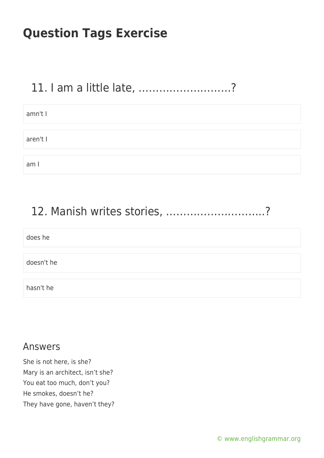#### 11. I am a little late, ………………………?

| amn't I  |  |
|----------|--|
|          |  |
| aren't I |  |
|          |  |
| am I     |  |

#### 12. Manish writes stories, ………………………..?

| does he    |  |
|------------|--|
|            |  |
| doesn't he |  |
|            |  |
| hasn't he  |  |

#### Answers

She is not here, is she? Mary is an architect, isn't she? You eat too much, don't you? He smokes, doesn't he? They have gone, haven't they?